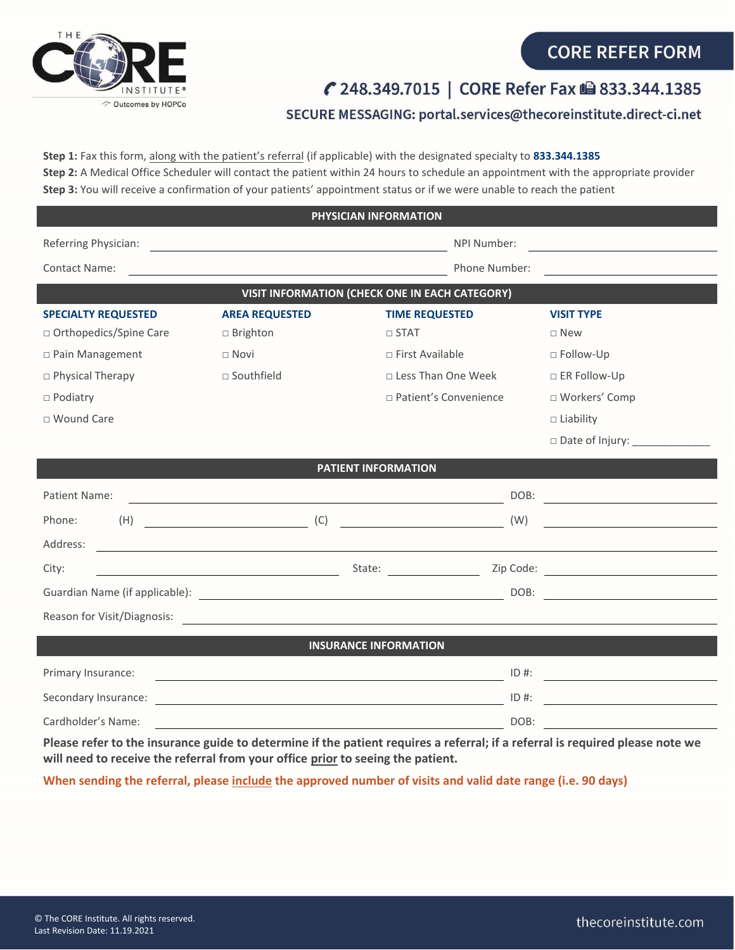

## SECURE MESSAGING: portal.services@thecoreinstitute.direct-ci.net

**Step 1:** Fax this form, along with the patient's referral (if applicable) with the designated specialty to **833.344.1385 Step 2:** A Medical Office Scheduler will contact the patient within 24 hours to schedule an appointment with the appropriate provider **Step 3:** You will receive a confirmation of your patients' appointment status or if we were unable to reach the patient

| PHYSICIAN INFORMATION                                                                                                           |                                                                              |                                 |                                                                                                                                                                                                                                      |  |  |
|---------------------------------------------------------------------------------------------------------------------------------|------------------------------------------------------------------------------|---------------------------------|--------------------------------------------------------------------------------------------------------------------------------------------------------------------------------------------------------------------------------------|--|--|
| Referring Physician:                                                                                                            |                                                                              | NPI Number:                     |                                                                                                                                                                                                                                      |  |  |
| Contact Name:                                                                                                                   |                                                                              | Phone Number:                   |                                                                                                                                                                                                                                      |  |  |
| VISIT INFORMATION (CHECK ONE IN EACH CATEGORY)                                                                                  |                                                                              |                                 |                                                                                                                                                                                                                                      |  |  |
| <b>SPECIALTY REQUESTED</b>                                                                                                      | <b>AREA REQUESTED</b>                                                        | <b>TIME REQUESTED</b>           | <b>VISIT TYPE</b>                                                                                                                                                                                                                    |  |  |
| □ Orthopedics/Spine Care                                                                                                        | $\Box$ Brighton                                                              | $\Box$ STAT                     | $\square$ New                                                                                                                                                                                                                        |  |  |
| □ Pain Management                                                                                                               | $\Box$ Novi                                                                  | $\Box$ First Available          | □ Follow-Up                                                                                                                                                                                                                          |  |  |
| □ Physical Therapy                                                                                                              | □ Southfield                                                                 | □ Less Than One Week            | □ ER Follow-Up                                                                                                                                                                                                                       |  |  |
| $\Box$ Podiatry                                                                                                                 |                                                                              | □ Patient's Convenience         | □ Workers' Comp                                                                                                                                                                                                                      |  |  |
| □ Wound Care                                                                                                                    |                                                                              |                                 | $\Box$ Liability                                                                                                                                                                                                                     |  |  |
|                                                                                                                                 |                                                                              |                                 | □ Date of Injury: ______________                                                                                                                                                                                                     |  |  |
| <b>PATIENT INFORMATION</b>                                                                                                      |                                                                              |                                 |                                                                                                                                                                                                                                      |  |  |
| Patient Name:                                                                                                                   |                                                                              | DOB:                            | <u> 1989 - Johann Stoff, Amerikaansk konst</u>                                                                                                                                                                                       |  |  |
| Phone:<br>(H)                                                                                                                   | (C)                                                                          | (W)                             | <u> 1980 - Andrea Station Books, amerikansk politik (</u>                                                                                                                                                                            |  |  |
| Address:                                                                                                                        |                                                                              |                                 |                                                                                                                                                                                                                                      |  |  |
| City:                                                                                                                           | <u> 1989 - Johann Barnett, fransk politik (</u>                              | State: <u>www.community.com</u> |                                                                                                                                                                                                                                      |  |  |
|                                                                                                                                 |                                                                              | DOB:                            | <u>and the community of the community of the community of the community of the community of the community of the community of the community of the community of the community of the community of the community of the community</u> |  |  |
| Reason for Visit/Diagnosis:                                                                                                     |                                                                              |                                 |                                                                                                                                                                                                                                      |  |  |
| <b>INSURANCE INFORMATION</b>                                                                                                    |                                                                              |                                 |                                                                                                                                                                                                                                      |  |  |
|                                                                                                                                 |                                                                              |                                 |                                                                                                                                                                                                                                      |  |  |
| Primary Insurance:                                                                                                              |                                                                              | $ID$ #:                         | <u> 1989 - Johann Stone, Amerikaansk politiker (</u>                                                                                                                                                                                 |  |  |
| Secondary Insurance:                                                                                                            | <u> 1989 - Johann Barbara, martxa alemaniar amerikan personal (h. 1989).</u> | $ID$ #:                         |                                                                                                                                                                                                                                      |  |  |
| Cardholder's Name:                                                                                                              |                                                                              | DOB:                            | <u> 1980 - Jan James Barbara, politik e</u> ta bizkaitzar                                                                                                                                                                            |  |  |
| Dloges usfau to tha incurrence quide to determine if the notiont usquires a usfaural, if a usfaural is usquired places note use |                                                                              |                                 |                                                                                                                                                                                                                                      |  |  |

**Please refer to the insurance guide to determine if the patient requires a referral; if a referral is required please note we will need to receive the referral from your office prior to seeing the patient.** 

**When sending the referral, please include the approved number of visits and valid date range (i.e. 90 days)**